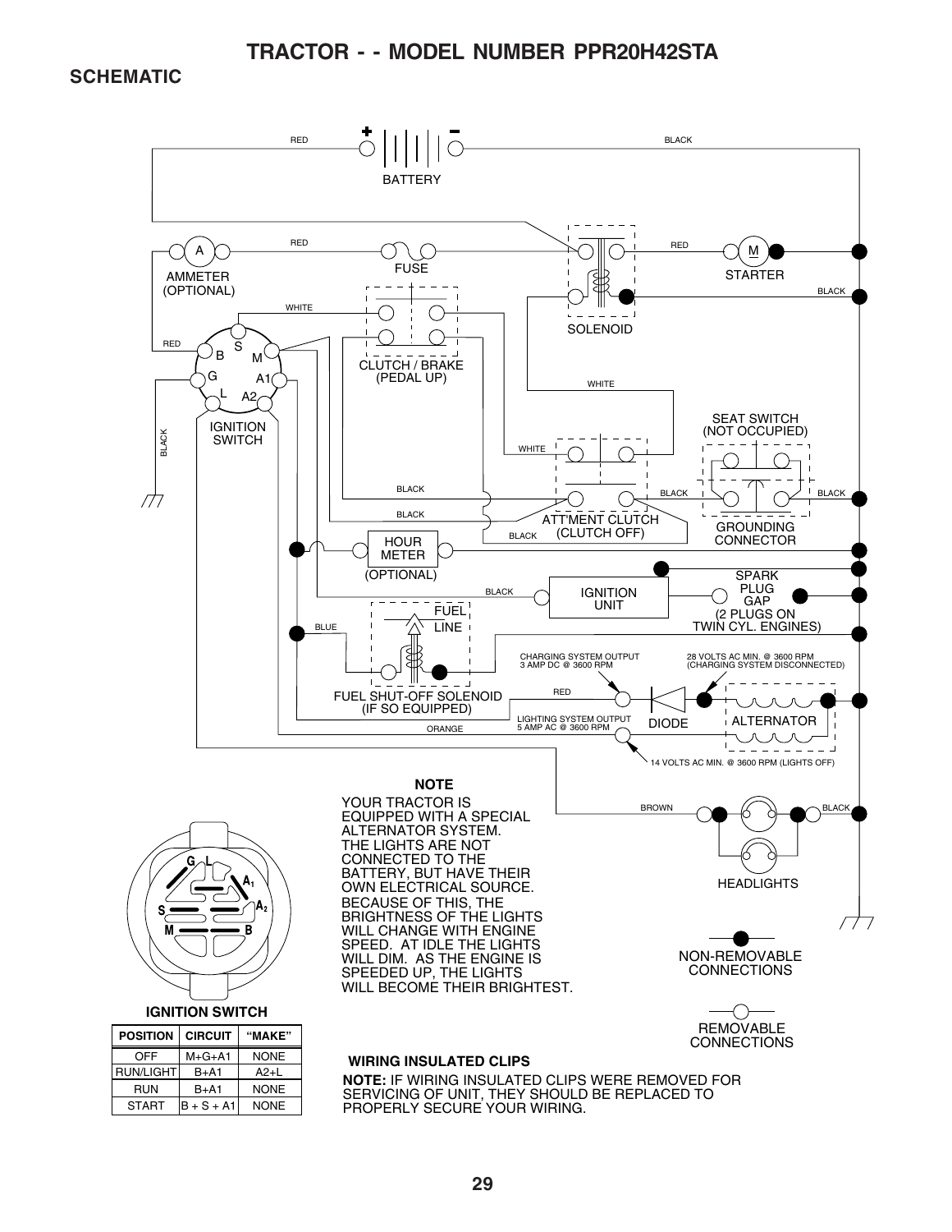**SCHEMATIC**

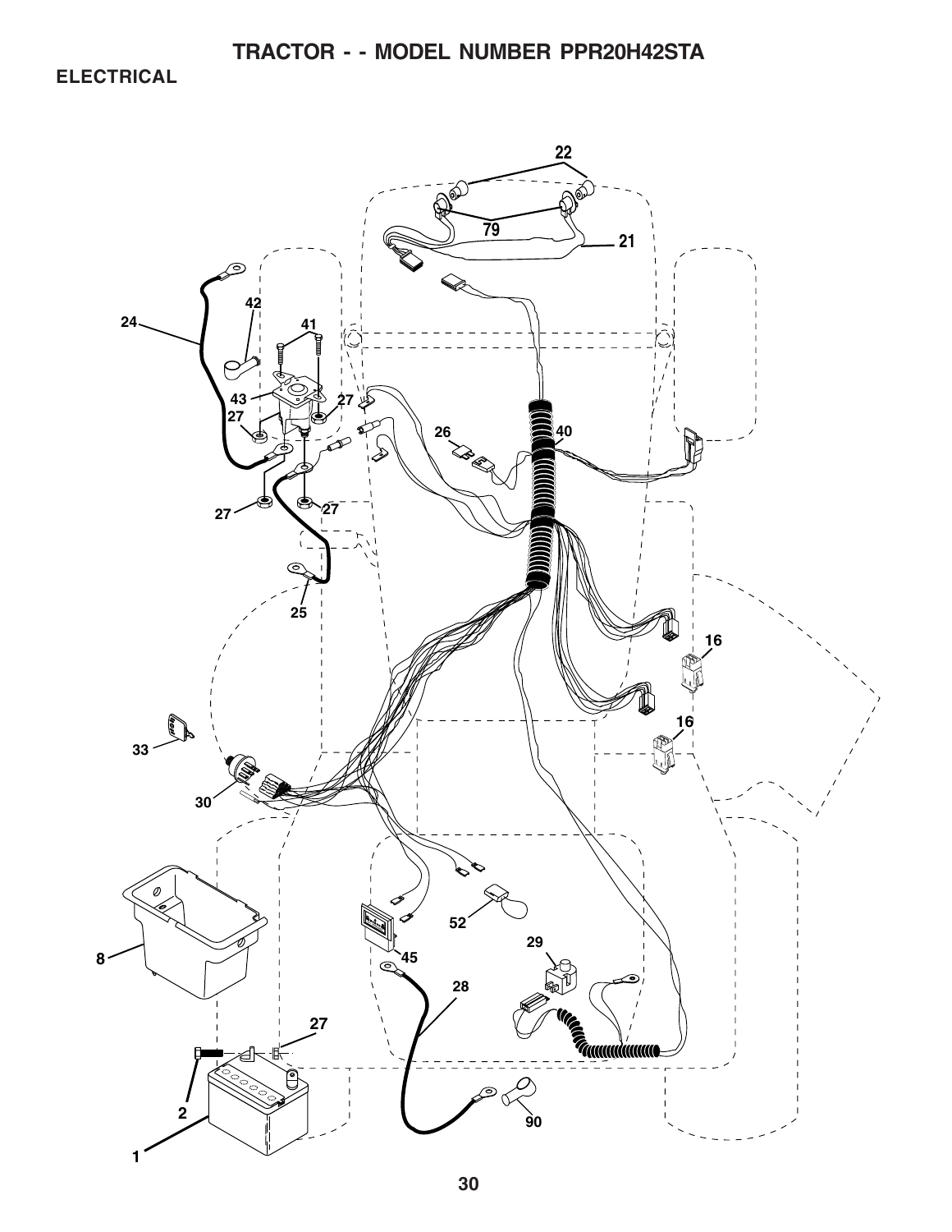**ELECTRICAL**

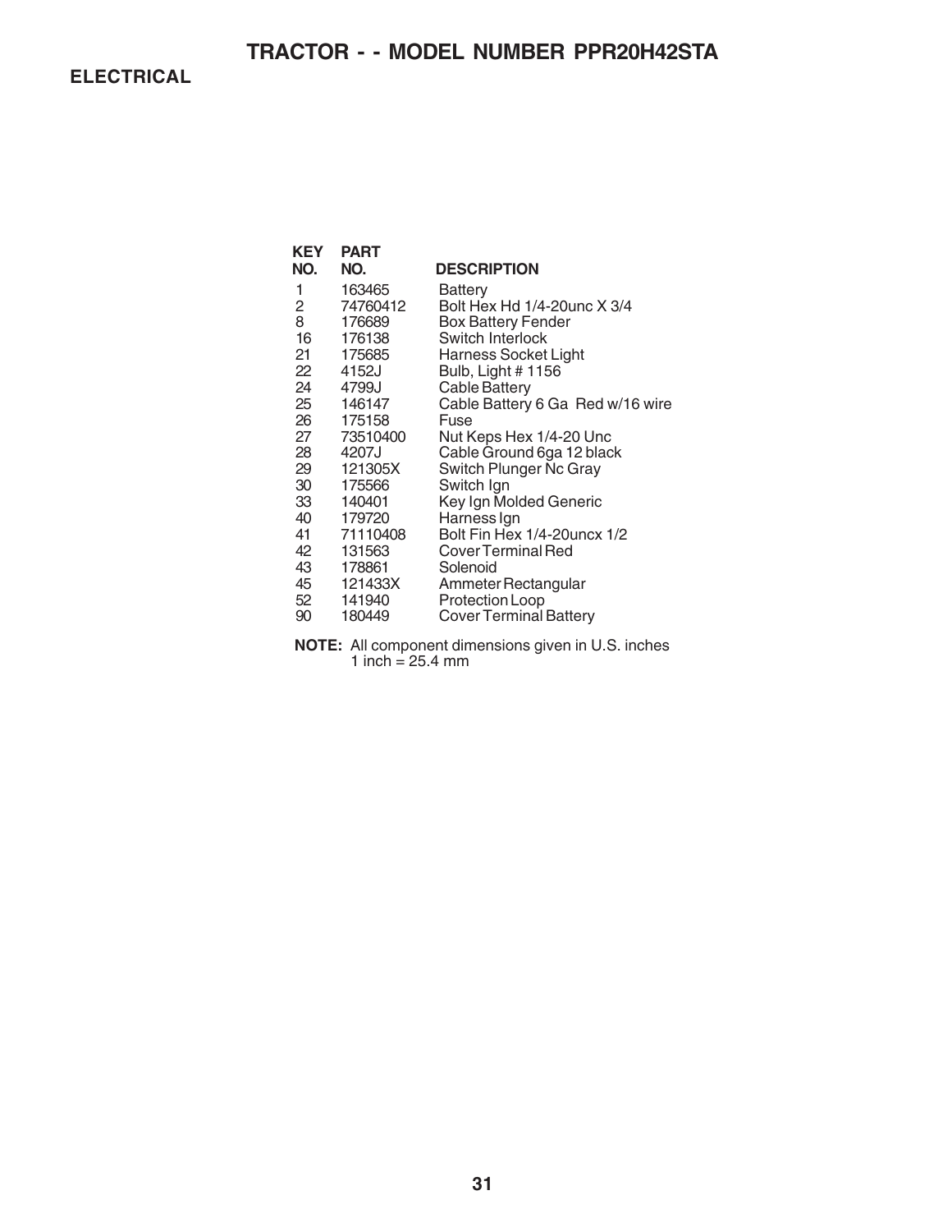**ELECTRICAL**

| <b>KEY</b> | <b>PART</b> |                                  |
|------------|-------------|----------------------------------|
| NO.        | NO.         | <b>DESCRIPTION</b>               |
| 1          | 163465      | Battery                          |
| 2          | 74760412    | Bolt Hex Hd 1/4-20unc X 3/4      |
| 8          | 176689      | <b>Box Battery Fender</b>        |
| 16         | 176138      | Switch Interlock                 |
| 21         | 175685      | Harness Socket Light             |
| 22         | 4152J       | Bulb, Light # 1156               |
| 24         | 4799J       | <b>Cable Battery</b>             |
| 25         | 146147      | Cable Battery 6 Ga Red w/16 wire |
| 26         | 175158      | Fuse                             |
| 27         | 73510400    | Nut Keps Hex 1/4-20 Unc          |
| 28         | 4207J       | Cable Ground 6ga 12 black        |
| 29         | 121305X     | Switch Plunger Nc Gray           |
| 30         | 175566      | Switch Ign                       |
| 33         | 140401      | Key Ign Molded Generic           |
| 40         | 179720      | Harness Ign                      |
| 41         | 71110408    | Bolt Fin Hex 1/4-20uncx 1/2      |
| 42         | 131563      | Cover Terminal Red               |
| 43         | 178861      | Solenoid                         |
| 45         | 121433X     | Ammeter Rectangular              |
| 52         | 141940      | Protection Loop                  |
| 90         | 180449      | <b>Cover Terminal Battery</b>    |

**NOTE:** All component dimensions given in U.S. inches 1 inch = 25.4 mm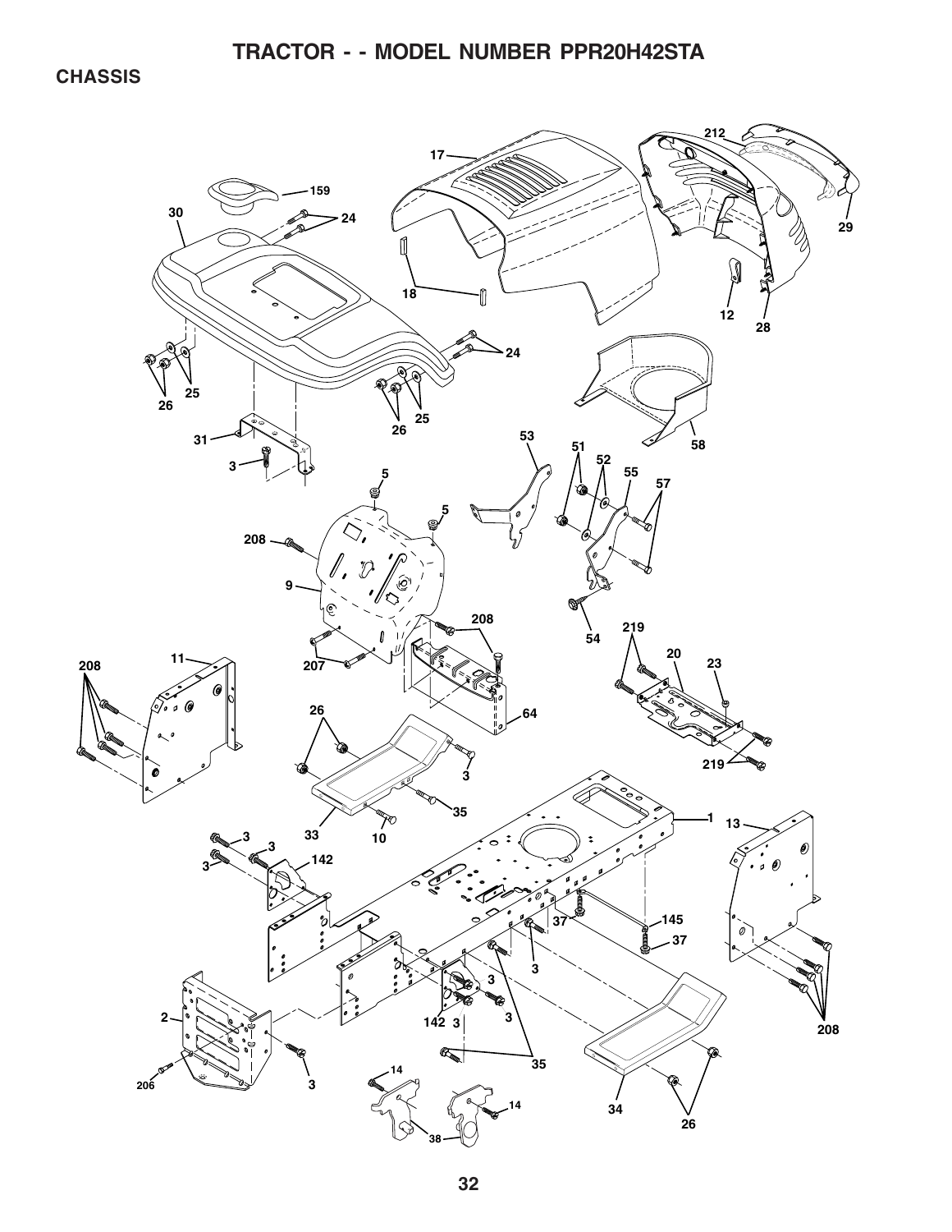**CHASSIS**

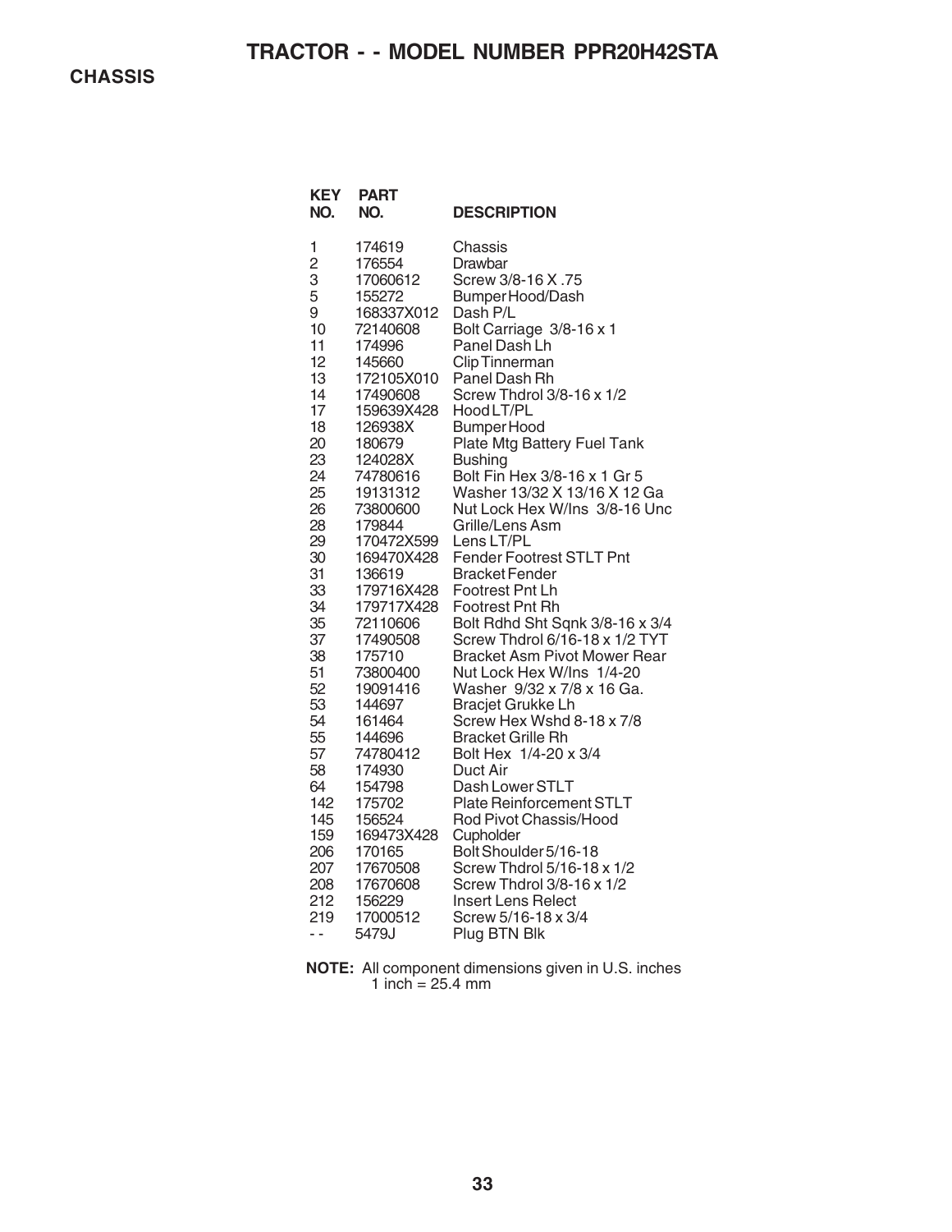| <b>KEY</b><br>NO.                                                                                                                                                                                                                                                        | PART<br>NO.                                                                                                                                                                                                                                                                                                                                                                                                                                                                                    | <b>DESCRIPTION</b>                                                                                                                                                                                                                                                                                                                                                                                                                                                                                                                                                                                                                                                                                                                                                                                                                                                                                                                                                                                                                                         |
|--------------------------------------------------------------------------------------------------------------------------------------------------------------------------------------------------------------------------------------------------------------------------|------------------------------------------------------------------------------------------------------------------------------------------------------------------------------------------------------------------------------------------------------------------------------------------------------------------------------------------------------------------------------------------------------------------------------------------------------------------------------------------------|------------------------------------------------------------------------------------------------------------------------------------------------------------------------------------------------------------------------------------------------------------------------------------------------------------------------------------------------------------------------------------------------------------------------------------------------------------------------------------------------------------------------------------------------------------------------------------------------------------------------------------------------------------------------------------------------------------------------------------------------------------------------------------------------------------------------------------------------------------------------------------------------------------------------------------------------------------------------------------------------------------------------------------------------------------|
| 1<br>$\overline{c}$<br>3<br>5<br>9<br>10<br>11<br>12<br>13<br>14<br>17<br>18<br>20<br>23<br>24<br>25<br>26<br>28<br>29<br>30<br>31<br>33<br>34<br>35<br>37<br>38<br>51<br>52<br>53<br>54<br>55<br>57<br>58<br>64<br>142<br>145<br>159<br>206<br>207<br>208<br>212<br>219 | 174619<br>176554<br>17060612<br>155272<br>168337X012<br>72140608<br>174996<br>145660<br>172105X010<br>17490608<br>159639X428<br>126938X<br>180679<br>124028X<br>74780616<br>19131312<br>73800600<br>179844<br>170472X599<br>169470X428<br>136619<br>179716X428<br>179717X428<br>72110606<br>17490508<br>175710<br>73800400<br>19091416<br>144697<br>161464<br>144696<br>74780412<br>174930<br>154798<br>175702<br>156524<br>169473X428<br>170165<br>17670508<br>17670608<br>156229<br>17000512 | Chassis<br>Drawbar<br>Screw 3/8-16 X.75<br>Bumper Hood/Dash<br>Dash P/L<br>Bolt Carriage 3/8-16 x 1<br>Panel Dash Lh<br><b>Clip Tinnerman</b><br>Panel Dash Rh<br>Screw Thdrol 3/8-16 x 1/2<br>Hood LT/PL<br><b>Bumper Hood</b><br>Plate Mtg Battery Fuel Tank<br><b>Bushing</b><br>Bolt Fin Hex 3/8-16 x 1 Gr 5<br>Washer 13/32 X 13/16 X 12 Ga<br>Nut Lock Hex W/Ins 3/8-16 Unc<br>Grille/Lens Asm<br>Lens LT/PL<br><b>Fender Footrest STLT Pnt</b><br>Bracket Fender<br><b>Footrest Pnt Lh</b><br>Footrest Pnt Rh<br>Bolt Rdhd Sht Sqnk 3/8-16 x 3/4<br>Screw Thdrol 6/16-18 x 1/2 TYT<br><b>Bracket Asm Pivot Mower Rear</b><br>Nut Lock Hex W/Ins 1/4-20<br>Washer 9/32 x 7/8 x 16 Ga.<br><b>Bracjet Grukke Lh</b><br>Screw Hex Wshd 8-18 x 7/8<br><b>Bracket Grille Rh</b><br>Bolt Hex 1/4-20 x 3/4<br>Duct Air<br>Dash Lower STLT<br><b>Plate Reinforcement STLT</b><br>Rod Pivot Chassis/Hood<br>Cupholder<br>Bolt Shoulder 5/16-18<br>Screw Thdrol 5/16-18 x 1/2<br>Screw Thdrol 3/8-16 x 1/2<br><b>Insert Lens Relect</b><br>Screw 5/16-18 x 3/4 |
| - -                                                                                                                                                                                                                                                                      | 5479J                                                                                                                                                                                                                                                                                                                                                                                                                                                                                          | Plug BTN Blk                                                                                                                                                                                                                                                                                                                                                                                                                                                                                                                                                                                                                                                                                                                                                                                                                                                                                                                                                                                                                                               |

**NOTE:** All component dimensions given in U.S. inches 1 inch = 25.4 mm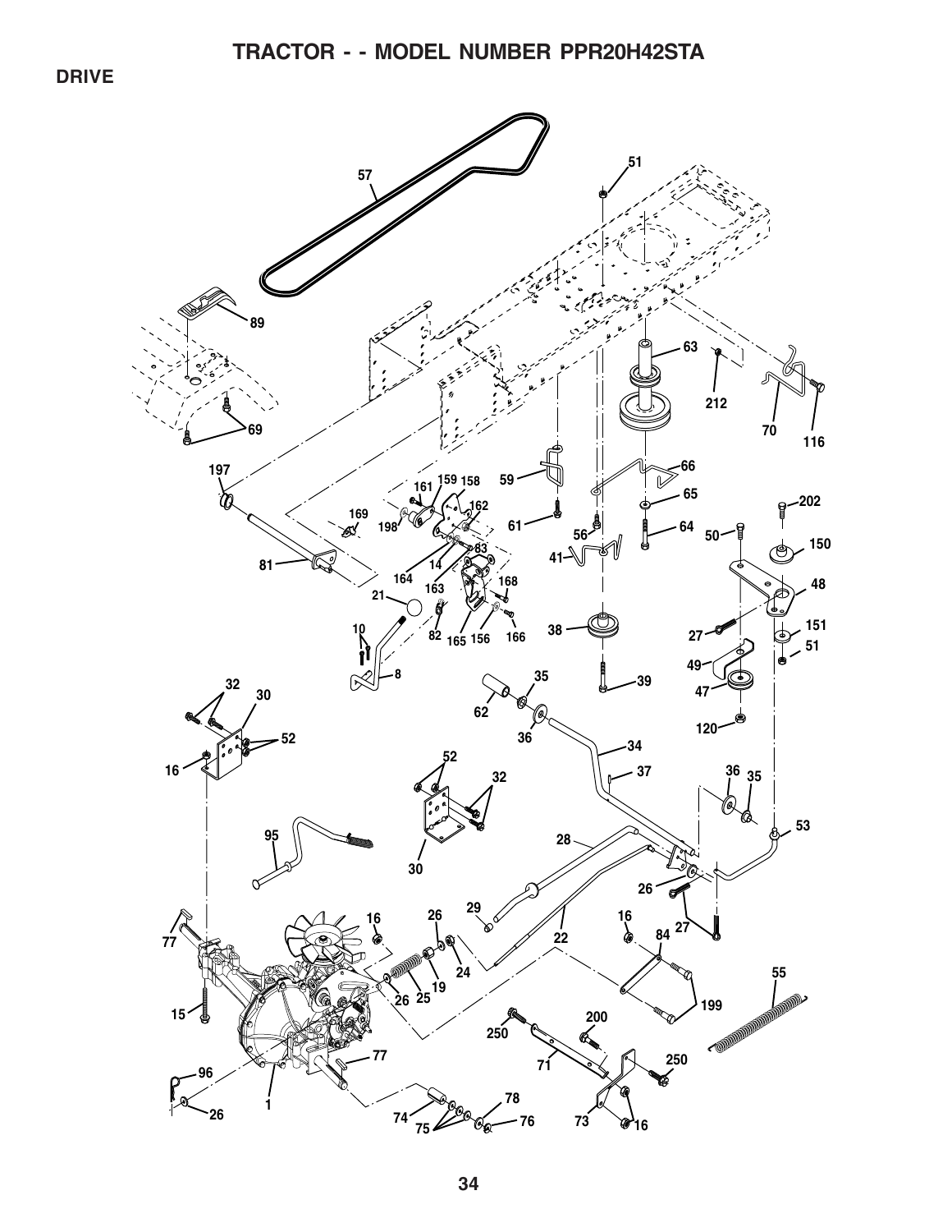**DRIVE**

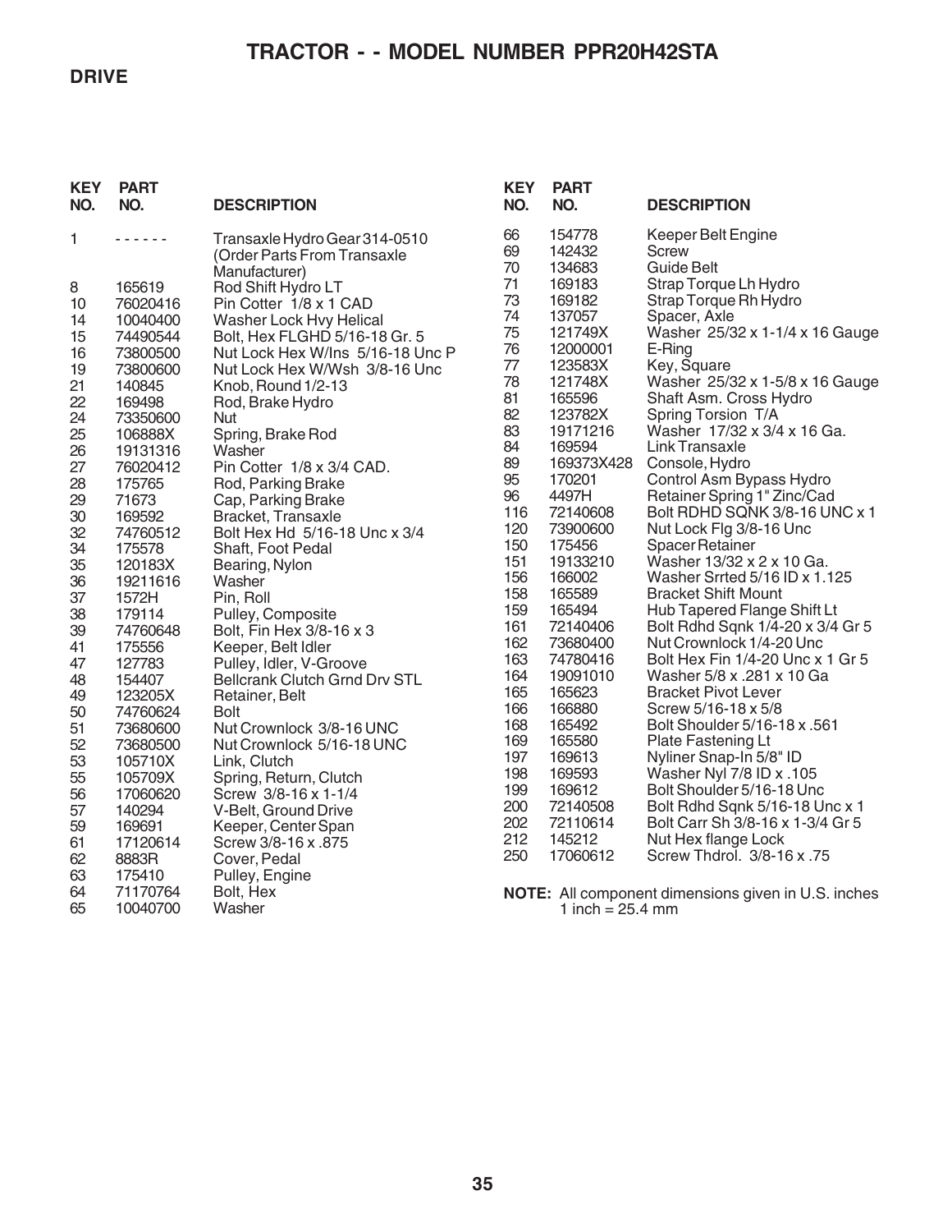### **DRIVE**

## **TRACTOR - - MODEL NUMBER PPR20H42STA**

| <b>KEY</b><br>NO. | <b>PART</b><br>NO.   | <b>DESCRIPTION</b>                                                            | <b>KEY</b><br>NO. | <b>PART</b><br>NO.         |
|-------------------|----------------------|-------------------------------------------------------------------------------|-------------------|----------------------------|
| 1                 |                      | Transaxle Hydro Gear 314-0510<br>(Order Parts From Transaxle<br>Manufacturer) | 66<br>69<br>70    | 154778<br>142432<br>134683 |
| 8                 | 165619               | Rod Shift Hydro LT                                                            | 71                | 169183                     |
| 10                | 76020416             | Pin Cotter 1/8 x 1 CAD                                                        | 73                | 169182                     |
| 14                | 10040400             | <b>Washer Lock Hvy Helical</b>                                                | 74<br>75          | 137057<br>121749>          |
| 15                | 74490544             | Bolt, Hex FLGHD 5/16-18 Gr. 5<br>Nut Lock Hex W/Ins 5/16-18 Unc P             | 76                | 1200000                    |
| 16<br>19          | 73800500<br>73800600 | Nut Lock Hex W/Wsh 3/8-16 Unc                                                 | 77                | 123583X                    |
| 21                | 140845               | Knob, Round 1/2-13                                                            | 78                | 121748X                    |
| 22                | 169498               | Rod, Brake Hydro                                                              | 81                | 165596                     |
| 24                | 73350600             | Nut                                                                           | 82                | 123782X                    |
| 25                | 106888X              | Spring, Brake Rod                                                             | 83                | 1917121                    |
| 26                | 19131316             | Washer                                                                        | 84                | 169594                     |
| 27                | 76020412             | Pin Cotter 1/8 x 3/4 CAD.                                                     | 89<br>95          | 169373X                    |
| 28                | 175765               | Rod, Parking Brake                                                            | 96                | 170201<br>4497H            |
| 29<br>30          | 71673<br>169592      | Cap, Parking Brake<br>Bracket, Transaxle                                      | 116               | 7214060                    |
| 32                | 74760512             | Bolt Hex Hd 5/16-18 Unc x 3/4                                                 | 120               | 7390060                    |
| 34                | 175578               | Shaft, Foot Pedal                                                             | 150               | 175456                     |
| 35                | 120183X              | Bearing, Nylon                                                                | 151               | 1913321                    |
| 36                | 19211616             | Washer                                                                        | 156               | 166002                     |
| 37                | 1572H                | Pin, Roll                                                                     | 158               | 165589                     |
| 38                | 179114               | Pulley, Composite                                                             | 159<br>161        | 165494                     |
| 39                | 74760648             | Bolt, Fin Hex 3/8-16 x 3                                                      | 162               | 7214040<br>7368040         |
| 41<br>47          | 175556<br>127783     | Keeper, Belt Idler<br>Pulley, Idler, V-Groove                                 | 163               | 7478041                    |
| 48                | 154407               | <b>Bellcrank Clutch Grnd Drv STL</b>                                          | 164               | 1909101                    |
| 49                | 123205X              | Retainer, Belt                                                                | 165               | 165623                     |
| 50                | 74760624             | Bolt                                                                          | 166               | 166880                     |
| 51                | 73680600             | Nut Crownlock 3/8-16 UNC                                                      | 168               | 165492                     |
| 52                | 73680500             | Nut Crownlock 5/16-18 UNC                                                     | 169               | 165580                     |
| 53                | 105710X              | Link, Clutch                                                                  | 197               | 169613                     |
| 55                | 105709X              | Spring, Return, Clutch                                                        | 198<br>199        | 169593<br>169612           |
| 56                | 17060620             | Screw 3/8-16 x 1-1/4                                                          | 200               | 7214050                    |
| 57<br>59          | 140294<br>169691     | V-Belt, Ground Drive<br>Keeper, Center Span                                   | 202               | 7211061                    |
| 61                | 17120614             | Screw 3/8-16 x .875                                                           | 212               | 145212                     |
| 62                | 8883R                | Cover, Pedal                                                                  | 250               | 1706061                    |
| 63                | 175410               | Pulley, Engine                                                                |                   |                            |
| 64                | 71170764             | Bolt, Hex                                                                     |                   | NOTE: All com              |
| 65                | 10040700             | Washer                                                                        |                   | 1 inch                     |
|                   |                      |                                                                               |                   |                            |

| KEY<br>NO.                                                                                                                                                                                                                                            | PAR I<br>NO.                                                                                                                                                                                                                                                                                                                                                                                                          | <b>DESCRIPTION</b>                                                                                                                                                                                                                                                                                                                                                                                                                                                                                                                                                                                                                                                                                                                                                                                                                                                                                                                                                                                                                            |
|-------------------------------------------------------------------------------------------------------------------------------------------------------------------------------------------------------------------------------------------------------|-----------------------------------------------------------------------------------------------------------------------------------------------------------------------------------------------------------------------------------------------------------------------------------------------------------------------------------------------------------------------------------------------------------------------|-----------------------------------------------------------------------------------------------------------------------------------------------------------------------------------------------------------------------------------------------------------------------------------------------------------------------------------------------------------------------------------------------------------------------------------------------------------------------------------------------------------------------------------------------------------------------------------------------------------------------------------------------------------------------------------------------------------------------------------------------------------------------------------------------------------------------------------------------------------------------------------------------------------------------------------------------------------------------------------------------------------------------------------------------|
| 66<br>69<br>70<br>71<br>73<br>74<br>75<br>76<br>77<br>78<br>81<br>82<br>83<br>84<br>89<br>95<br>96<br>116<br>120<br>150<br>151<br>156<br>158<br>159<br>161<br>162<br>163<br>164<br>165<br>166<br>168<br>169<br>197<br>198<br>199<br>200<br>202<br>212 | 154778<br>142432<br>134683<br>169183<br>169182<br>137057<br>121749X<br>12000001<br>123583X<br>121748X<br>165596<br>123782X<br>19171216<br>169594<br>169373X428<br>170201<br>4497H<br>72140608<br>73900600<br>175456<br>19133210<br>166002<br>165589<br>165494<br>72140406<br>73680400<br>74780416<br>19091010<br>165623<br>166880<br>165492<br>165580<br>169613<br>169593<br>169612<br>72140508<br>72110614<br>145212 | Keeper Belt Engine<br>Screw<br>Guide Belt<br>Strap Torque Lh Hydro<br>Strap Torque Rh Hydro<br>Spacer, Axle<br>Washer 25/32 x 1-1/4 x 16 Gauge<br>E-Ring<br>Key, Square<br>Washer 25/32 x 1-5/8 x 16 Gauge<br>Shaft Asm. Cross Hydro<br>Spring Torsion T/A<br>Washer 17/32 x 3/4 x 16 Ga.<br>Link Transaxle<br>Console, Hydro<br>Control Asm Bypass Hydro<br>Retainer Spring 1" Zinc/Cad<br>Bolt RDHD SQNK 3/8-16 UNC x 1<br>Nut Lock Flg 3/8-16 Unc<br><b>Spacer Retainer</b><br>Washer 13/32 x 2 x 10 Ga.<br>Washer Srrted 5/16 ID x 1.125<br><b>Bracket Shift Mount</b><br>Hub Tapered Flange Shift Lt<br>Bolt Rdhd Sqnk 1/4-20 x 3/4 Gr 5<br>Nut Crownlock 1/4-20 Unc<br>Bolt Hex Fin 1/4-20 Unc x 1 Gr 5<br>Washer 5/8 x .281 x 10 Ga<br><b>Bracket Pivot Lever</b><br>Screw 5/16-18 x 5/8<br>Bolt Shoulder 5/16-18 x .561<br><b>Plate Fastening Lt</b><br>Nyliner Snap-In 5/8" ID<br>Washer Nyl 7/8 ID x .105<br>Bolt Shoulder 5/16-18 Unc<br>Bolt Rdhd Sqnk 5/16-18 Unc x 1<br>Bolt Carr Sh 3/8-16 x 1-3/4 Gr 5<br>Nut Hex flange Lock |
| 250                                                                                                                                                                                                                                                   | 17060612                                                                                                                                                                                                                                                                                                                                                                                                              | Screw Thdrol. 3/8-16 x .75                                                                                                                                                                                                                                                                                                                                                                                                                                                                                                                                                                                                                                                                                                                                                                                                                                                                                                                                                                                                                    |

**NOTE:** All component dimensions given in U.S. inches 1 inch = 25.4 mm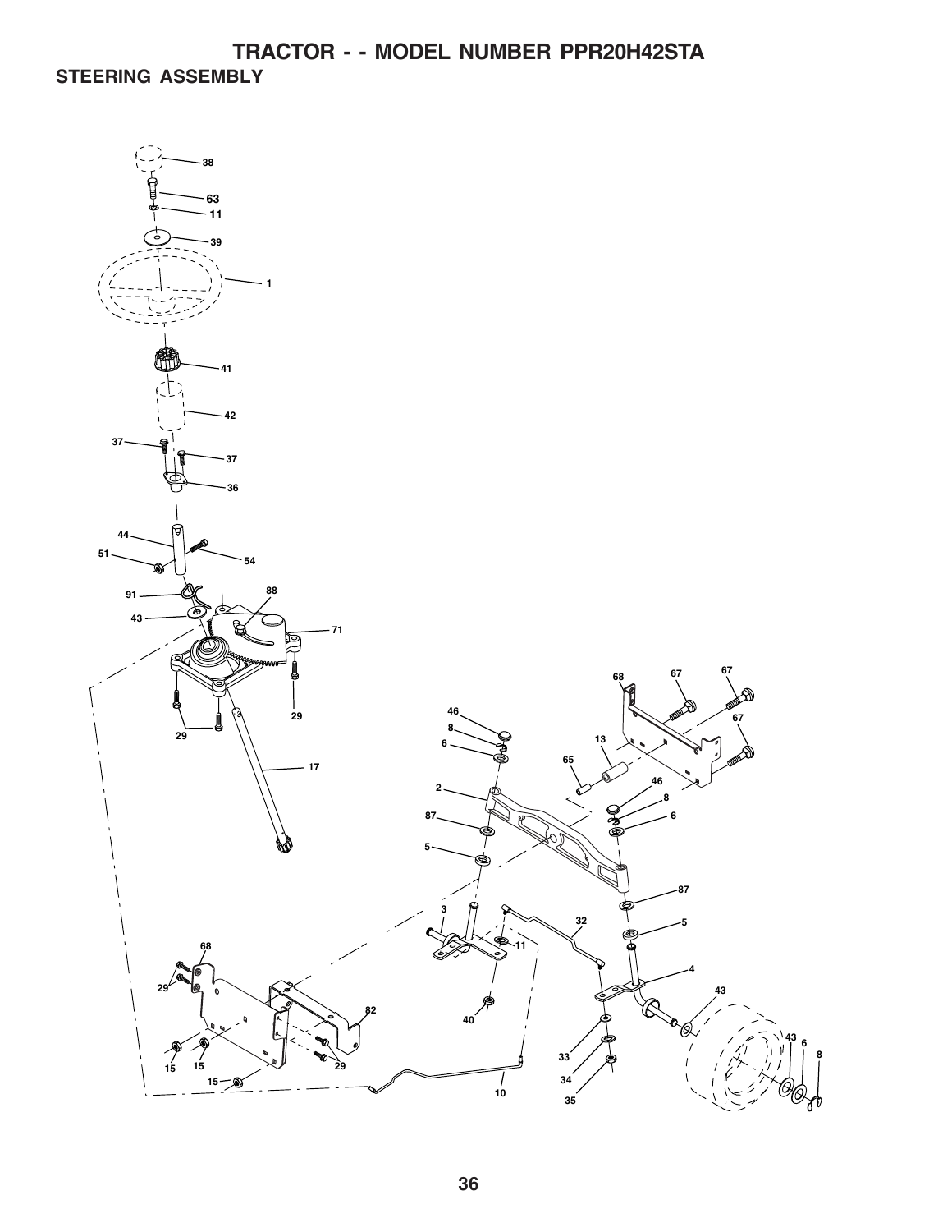**TRACTOR - - MODEL NUMBER PPR20H42STA STEERING ASSEMBLY**

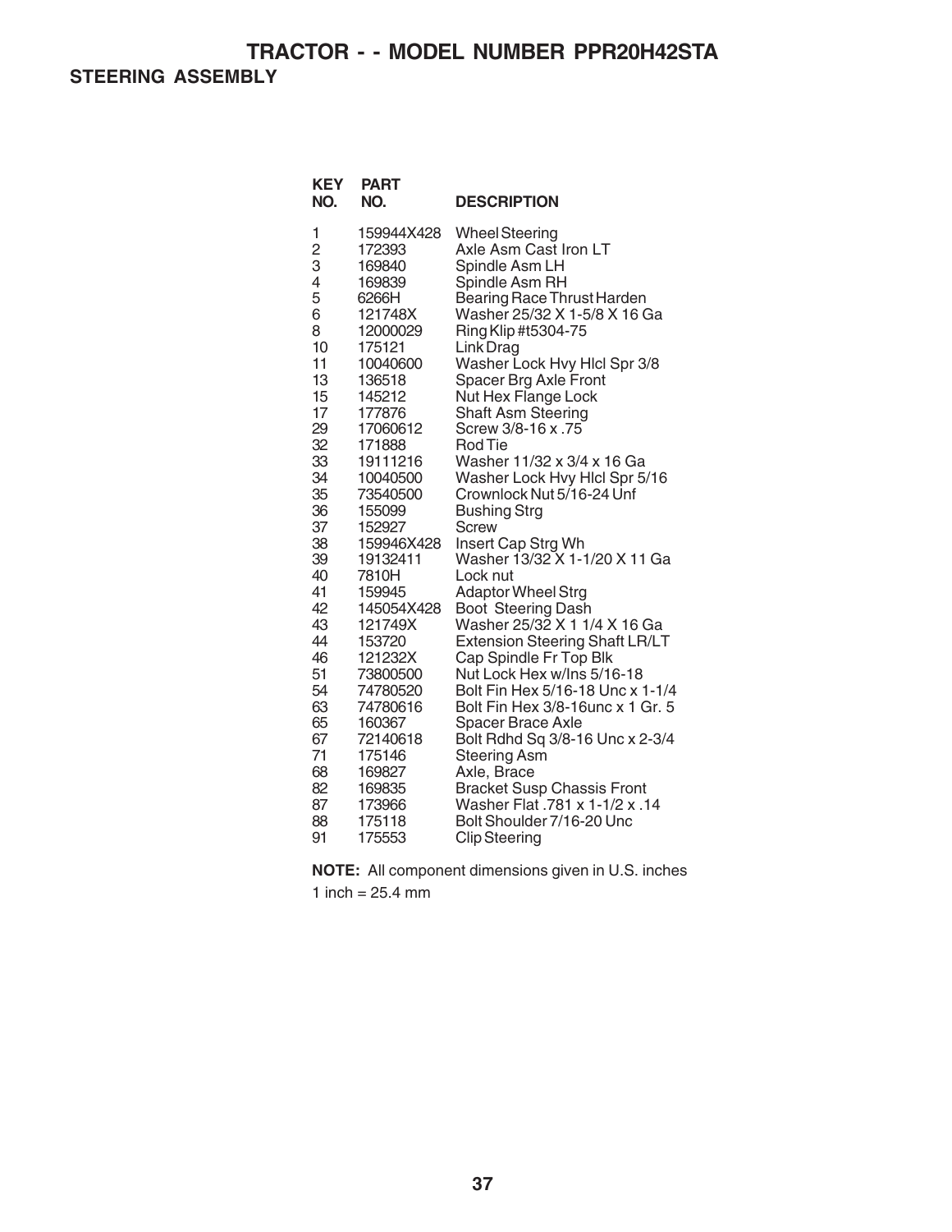**STEERING ASSEMBLY**

| <b>KEY</b><br>NO. | <b>PART</b><br>NO. | <b>DESCRIPTION</b>                                                  |
|-------------------|--------------------|---------------------------------------------------------------------|
| 1                 | 159944X428         | <b>Wheel Steering</b>                                               |
| $\overline{c}$    | 172393             | Axle Asm Cast Iron LT                                               |
| 3                 | 169840             | Spindle Asm LH                                                      |
| 4                 | 169839             | Spindle Asm RH                                                      |
| 5                 | 6266H              | Bearing Race Thrust Harden                                          |
| 6<br>8            | 121748X            | Washer 25/32 X 1-5/8 X 16 Ga                                        |
| 10                | 12000029<br>175121 | Ring Klip #t5304-75<br>Link Drag                                    |
| 11                | 10040600           | Washer Lock Hvy Hlcl Spr 3/8                                        |
| 13                | 136518             | Spacer Brg Axle Front                                               |
| 15                | 145212             | Nut Hex Flange Lock                                                 |
| 17                | 177876             | <b>Shaft Asm Steering</b>                                           |
| 29                | 17060612           | Screw 3/8-16 x .75                                                  |
| 32                | 171888             | Rod Tie                                                             |
| 33                | 19111216           | Washer 11/32 x 3/4 x 16 Ga                                          |
| 34                | 10040500           | Washer Lock Hvy Hlcl Spr 5/16                                       |
| 35                | 73540500           | Crownlock Nut 5/16-24 Unf                                           |
| 36                | 155099             | <b>Bushing Strg</b>                                                 |
| 37                | 152927             | Screw                                                               |
| 38                | 159946X428         | Insert Cap Strg Wh<br>Washer 13/32 X 1-1/20 X 11 Ga                 |
| 39<br>40          | 19132411           | Lock nut                                                            |
| 41                | 7810H<br>159945    | <b>Adaptor Wheel Strg</b>                                           |
| 42                | 145054X428         | Boot Steering Dash                                                  |
| 43                | 121749X            | Washer 25/32 X 1 1/4 X 16 Ga                                        |
| 44                | 153720             | <b>Extension Steering Shaft LR/LT</b>                               |
| 46                | 121232X            | Cap Spindle Fr Top Blk                                              |
| 51                | 73800500           | Nut Lock Hex w/Ins 5/16-18                                          |
| 54                | 74780520           | Bolt Fin Hex 5/16-18 Unc x 1-1/4                                    |
| 63                | 74780616           | Bolt Fin Hex 3/8-16unc x 1 Gr. 5                                    |
| 65                | 160367             | Spacer Brace Axle                                                   |
| 67                | 72140618           | Bolt Rdhd Sq 3/8-16 Unc x 2-3/4                                     |
| 71                | 175146             | <b>Steering Asm</b>                                                 |
| 68                | 169827             | Axle, Brace                                                         |
| 82<br>87          | 169835             | <b>Bracket Susp Chassis Front</b><br>Washer Flat .781 x 1-1/2 x .14 |
| 88                | 173966<br>175118   | Bolt Shoulder 7/16-20 Unc                                           |
| 91                | 175553             | <b>Clip Steering</b>                                                |
|                   |                    |                                                                     |

**NOTE:** All component dimensions given in U.S. inches 1 inch =  $25.4 \text{ mm}$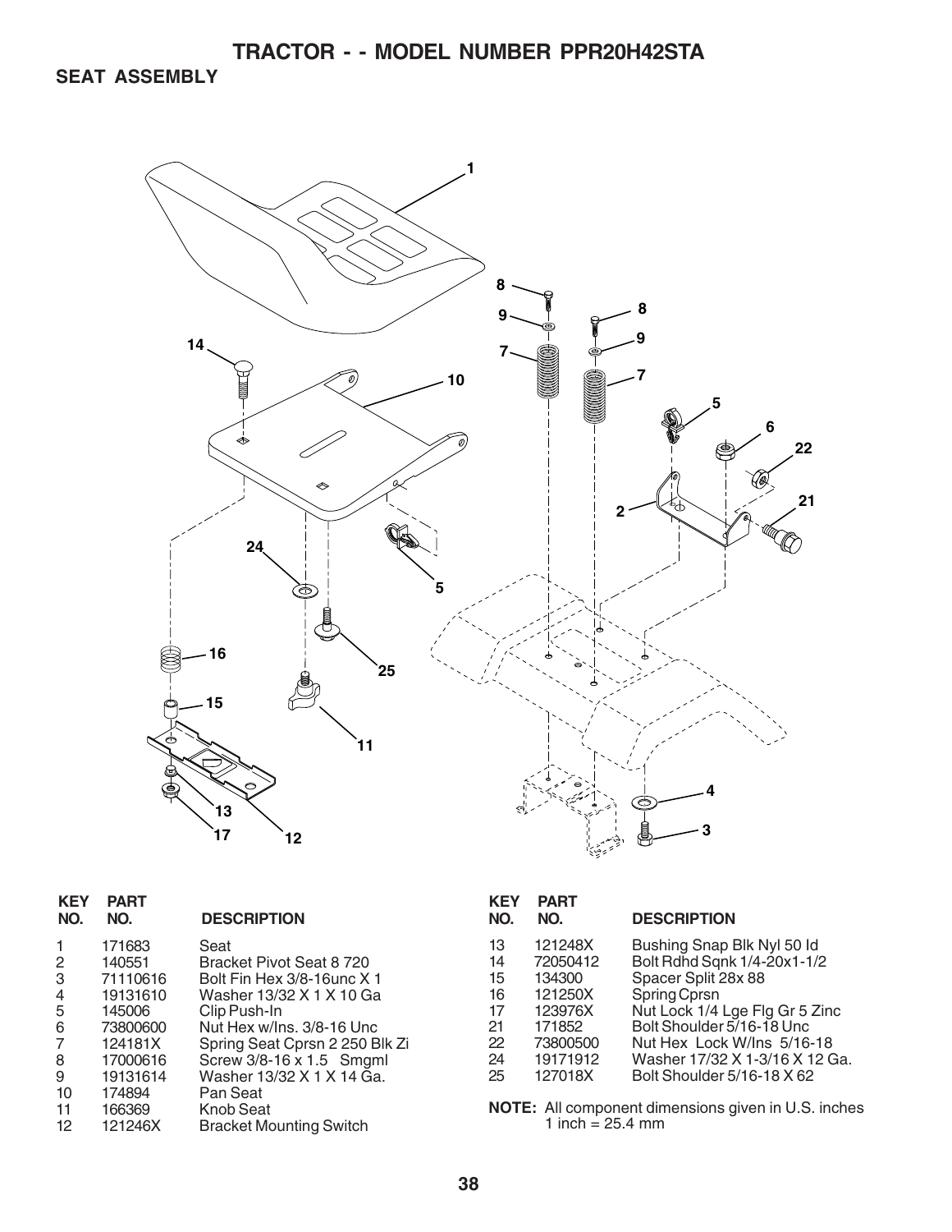**SEAT ASSEMBLY**



| <b>KEY</b><br>NO. | <b>PART</b><br>NO. | <b>DESCRIPTION</b>             |
|-------------------|--------------------|--------------------------------|
|                   | 171683             | Seat                           |
| 2                 | 140551             | Bracket Pivot Seat 8 720       |
| 3                 | 71110616           | Bolt Fin Hex 3/8-16unc X 1     |
| 4                 | 19131610           | Washer 13/32 X 1 X 10 Ga       |
| 5                 | 145006             | Clip Push-In                   |
| 6                 | 73800600           | Nut Hex w/Ins. 3/8-16 Unc      |
| 7                 | 124181X            | Spring Seat Cprsn 2 250 Blk Zi |
| 8                 | 17000616           | Screw 3/8-16 x 1.5 Smgml       |
| 9                 | 19131614           | Washer 13/32 X 1 X 14 Ga.      |
| 10                | 174894             | Pan Seat                       |
| 11                | 166369             | <b>Knob Seat</b>               |
| 12                | 121246X            | <b>Bracket Mounting Switch</b> |
|                   |                    |                                |

| <b>KEY</b><br>NO. | <b>PART</b><br>NO. | <b>DESCRIPTION</b>             |
|-------------------|--------------------|--------------------------------|
| 13                | 121248X            | Bushing Snap Blk Nyl 50 Id     |
| 14                | 72050412           | Bolt Rdhd Sqnk 1/4-20x1-1/2    |
| 15                | 134300             | Spacer Split 28x 88            |
| 16                | 121250X            | Spring Cprsn                   |
| 17                | 123976X            | Nut Lock 1/4 Lge Flg Gr 5 Zinc |
| 21                | 171852             | Bolt Shoulder 5/16-18 Unc.     |
| 22                | 73800500           | Nut Hex Lock W/Ins 5/16-18     |
| 24                | 19171912           | Washer 17/32 X 1-3/16 X 12 Ga. |
| 25                | 127018X            | Bolt Shoulder 5/16-18 X 62     |

**NOTE:** All component dimensions given in U.S. inches 1 inch = 25.4 mm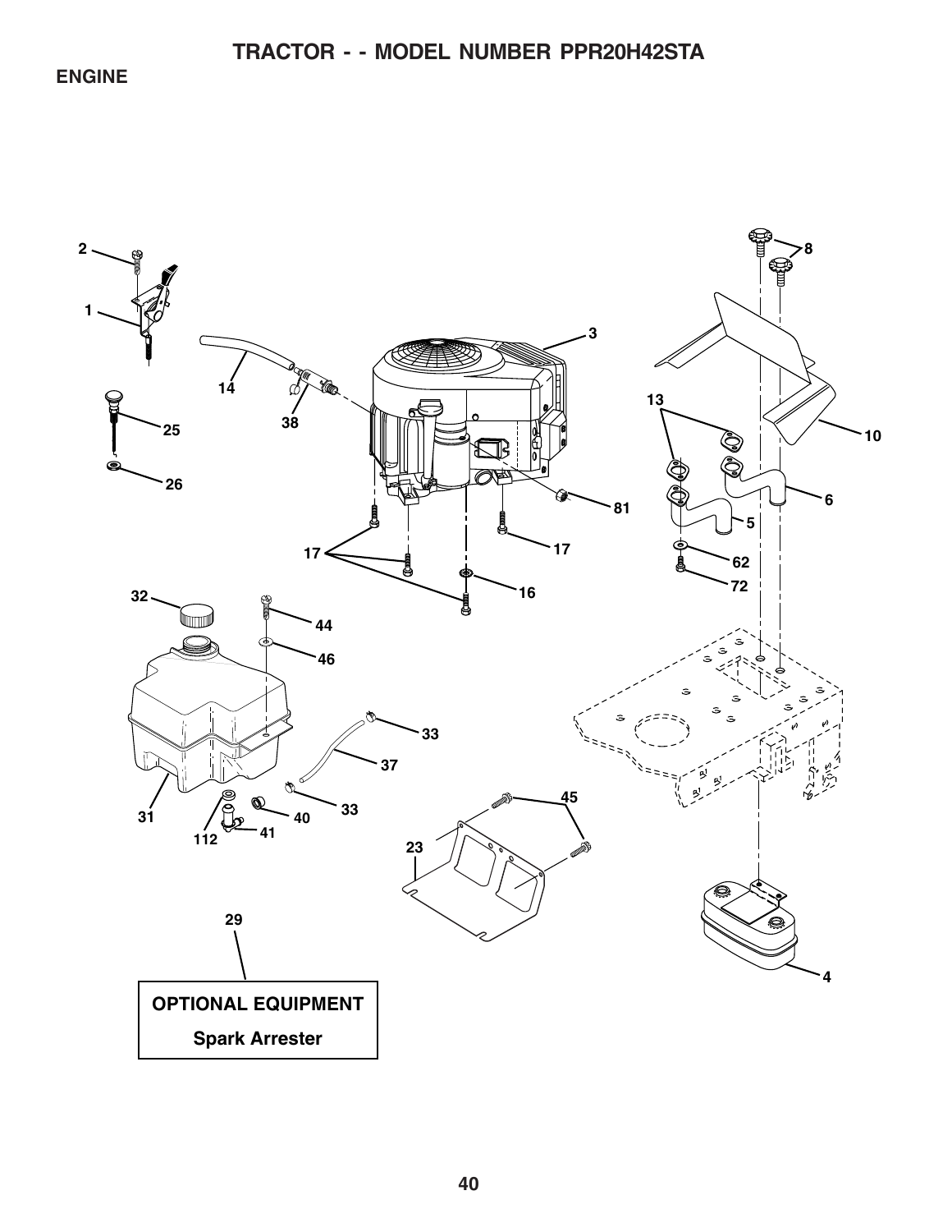**ENGINE**

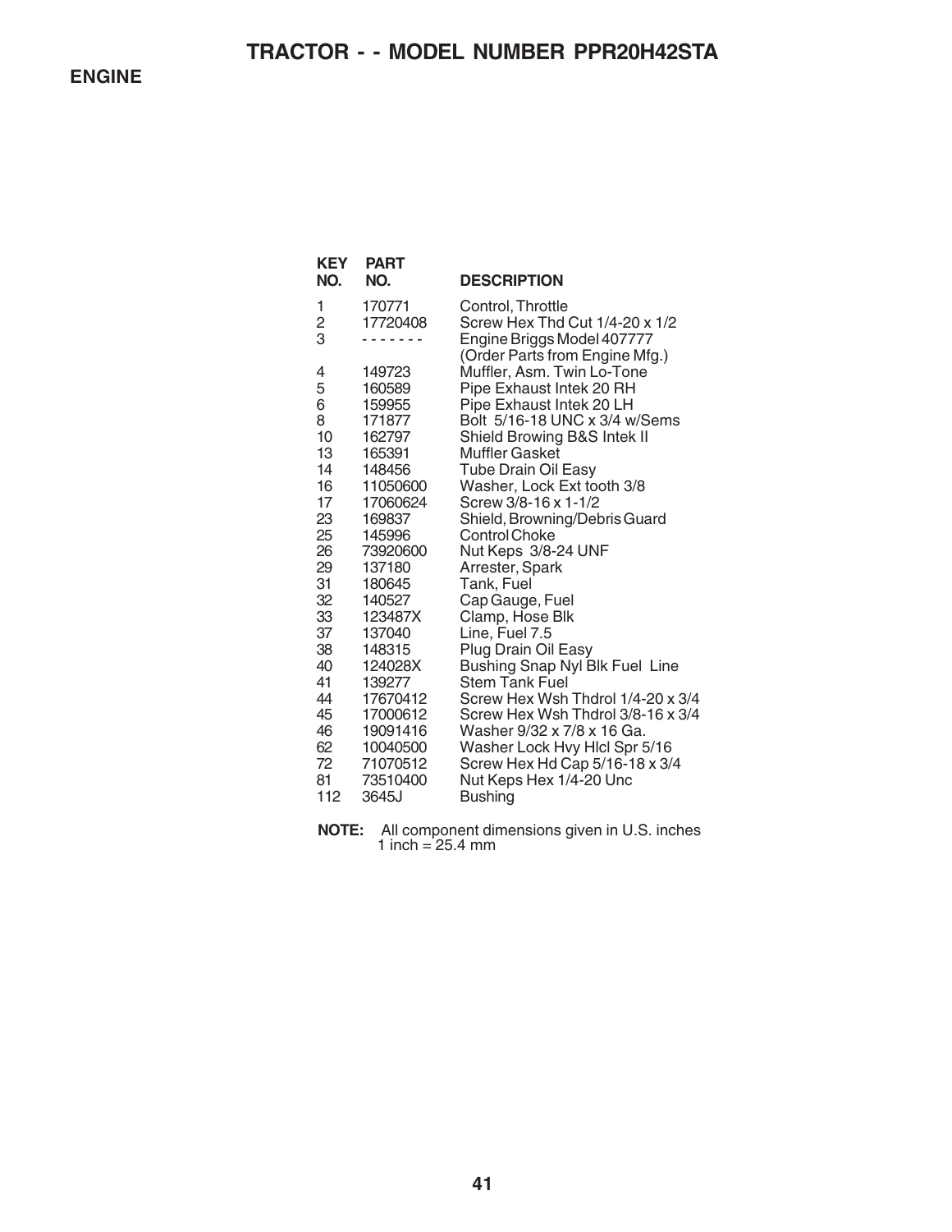**ENGINE**

| <b>KEY</b><br>NO. | <b>PART</b><br>NO.   | <b>DESCRIPTION</b>                                           |
|-------------------|----------------------|--------------------------------------------------------------|
| 1                 | 170771               | Control, Throttle                                            |
| 2<br>3            | 17720408             | Screw Hex Thd Cut 1/4-20 x 1/2<br>Engine Briggs Model 407777 |
|                   |                      | (Order Parts from Engine Mfg.)                               |
| 4                 | 149723               | Muffler, Asm. Twin Lo-Tone                                   |
| 5                 | 160589               | Pipe Exhaust Intek 20 RH                                     |
| 6                 | 159955               | Pipe Exhaust Intek 20 LH                                     |
| 8                 | 171877               | Bolt 5/16-18 UNC x 3/4 w/Sems                                |
| 10<br>13          | 162797<br>165391     | Shield Browing B&S Intek II<br>Muffler Gasket                |
| 14                | 148456               | <b>Tube Drain Oil Easy</b>                                   |
| 16                | 11050600             | Washer, Lock Ext tooth 3/8                                   |
| 17                | 17060624             | Screw 3/8-16 x 1-1/2                                         |
| 23                | 169837               | Shield, Browning/Debris Guard                                |
| 25<br>26          | 145996<br>73920600   | <b>Control Choke</b><br>Nut Keps 3/8-24 UNF                  |
| 29                | 137180               | Arrester, Spark                                              |
| 31                | 180645               | Tank, Fuel                                                   |
| 32                | 140527               | Cap Gauge, Fuel                                              |
| 33                | 123487X              | Clamp, Hose Blk                                              |
| 37                | 137040               | Line, Fuel 7.5                                               |
| 38<br>40          | 148315<br>124028X    | Plug Drain Oil Easy<br>Bushing Snap Nyl Blk Fuel Line        |
| 41                | 139277               | <b>Stem Tank Fuel</b>                                        |
| 44                | 17670412             | Screw Hex Wsh Thdrol 1/4-20 x 3/4                            |
| 45                | 17000612             | Screw Hex Wsh Thdrol 3/8-16 x 3/4                            |
| 46                | 19091416             | Washer 9/32 x 7/8 x 16 Ga.                                   |
| 62<br>72          | 10040500<br>71070512 | Washer Lock Hvy Hicl Spr 5/16                                |
| 81                | 73510400             | Screw Hex Hd Cap 5/16-18 x 3/4<br>Nut Keps Hex 1/4-20 Unc    |
| 112               | 3645J                | <b>Bushing</b>                                               |
|                   |                      |                                                              |

**NOTE:** All component dimensions given in U.S. inches 1 inch =  $25.4 \, \text{mm}$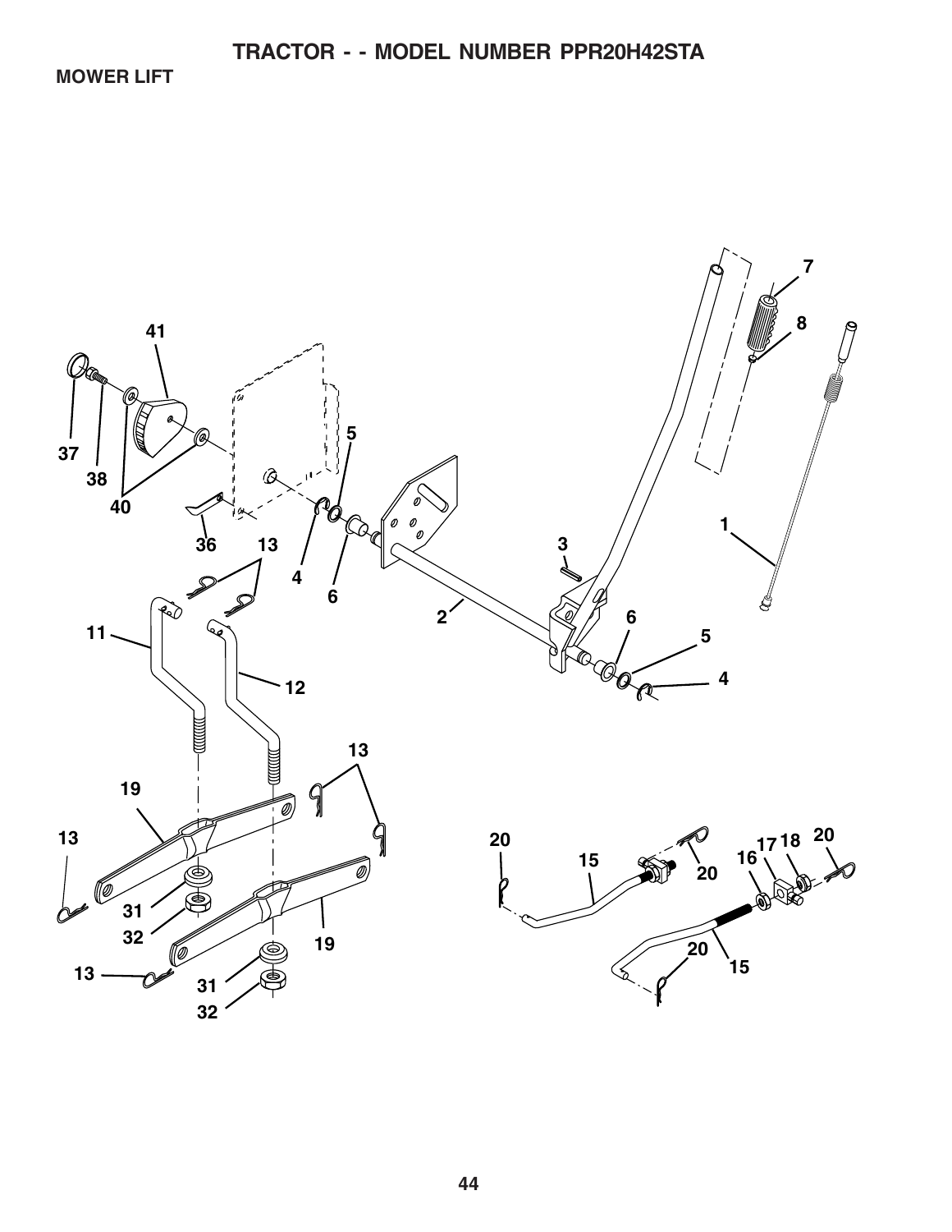**MOWER LIFT**

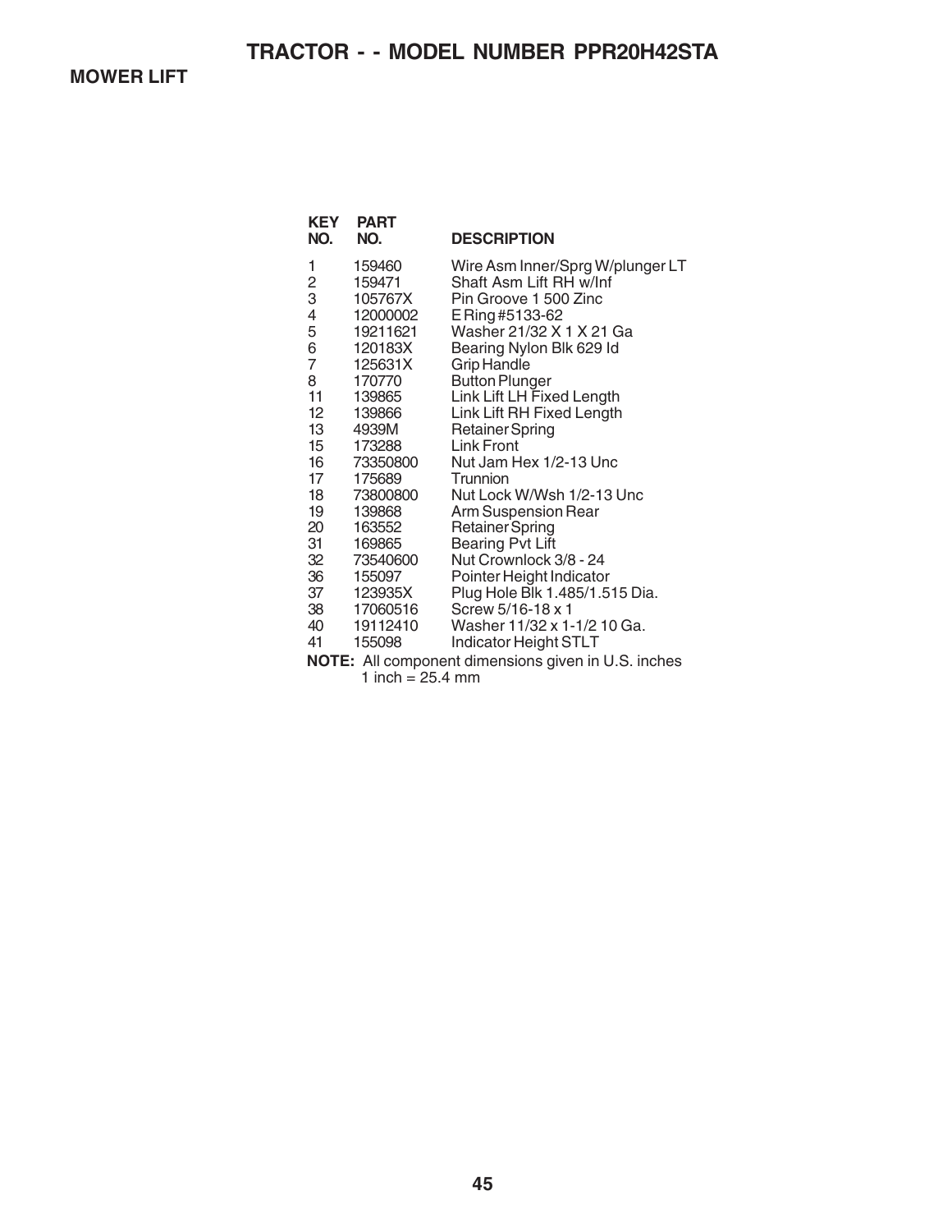**MOWER LIFT**

| <b>KEY</b><br>NO.                                          | <b>PART</b><br>NO. | <b>DESCRIPTION</b>               |  |
|------------------------------------------------------------|--------------------|----------------------------------|--|
| 1                                                          | 159460             | Wire Asm Inner/Sprg W/plunger LT |  |
| $\frac{2}{3}$                                              | 159471             | Shaft Asm Lift RH w/Inf          |  |
|                                                            | 105767X            | Pin Groove 1 500 Zinc            |  |
| 4                                                          | 12000002           | E Ring #5133-62                  |  |
| 5                                                          | 19211621           | Washer 21/32 X 1 X 21 Ga         |  |
| 6                                                          | 120183X            | Bearing Nylon Blk 629 Id         |  |
| $\overline{7}$                                             | 125631X            | <b>Grip Handle</b>               |  |
| 8                                                          | 170770             | <b>Button Plunger</b>            |  |
| 11                                                         | 139865             | Link Lift LH Fixed Length        |  |
| $12 \overline{ }$                                          | 139866             | Link Lift RH Fixed Length        |  |
| 13                                                         | 4939M              | <b>Retainer Spring</b>           |  |
| 15                                                         | 173288             | <b>Link Front</b>                |  |
| 16                                                         | 73350800           | Nut Jam Hex 1/2-13 Unc           |  |
| 17                                                         | 175689             | Trunnion                         |  |
| 18                                                         | 73800800           | Nut Lock W/Wsh 1/2-13 Unc        |  |
| 19                                                         | 139868             | Arm Suspension Rear              |  |
| 20                                                         | 163552             | <b>Retainer Spring</b>           |  |
| 31                                                         | 169865             | <b>Bearing Pvt Lift</b>          |  |
| 32                                                         | 73540600           | Nut Crownlock 3/8 - 24           |  |
| 36                                                         | 155097             | Pointer Height Indicator         |  |
| 37                                                         | 123935X            | Plug Hole Blk 1.485/1.515 Dia.   |  |
| 38                                                         | 17060516           | Screw 5/16-18 x 1                |  |
| 40                                                         | 19112410           | Washer 11/32 x 1-1/2 10 Ga.      |  |
| 41                                                         | 155098             | Indicator Height STLT            |  |
| <b>NOTE:</b> All component dimensions given in U.S. inches |                    |                                  |  |

1 inch =  $25.4 \, \text{mm}$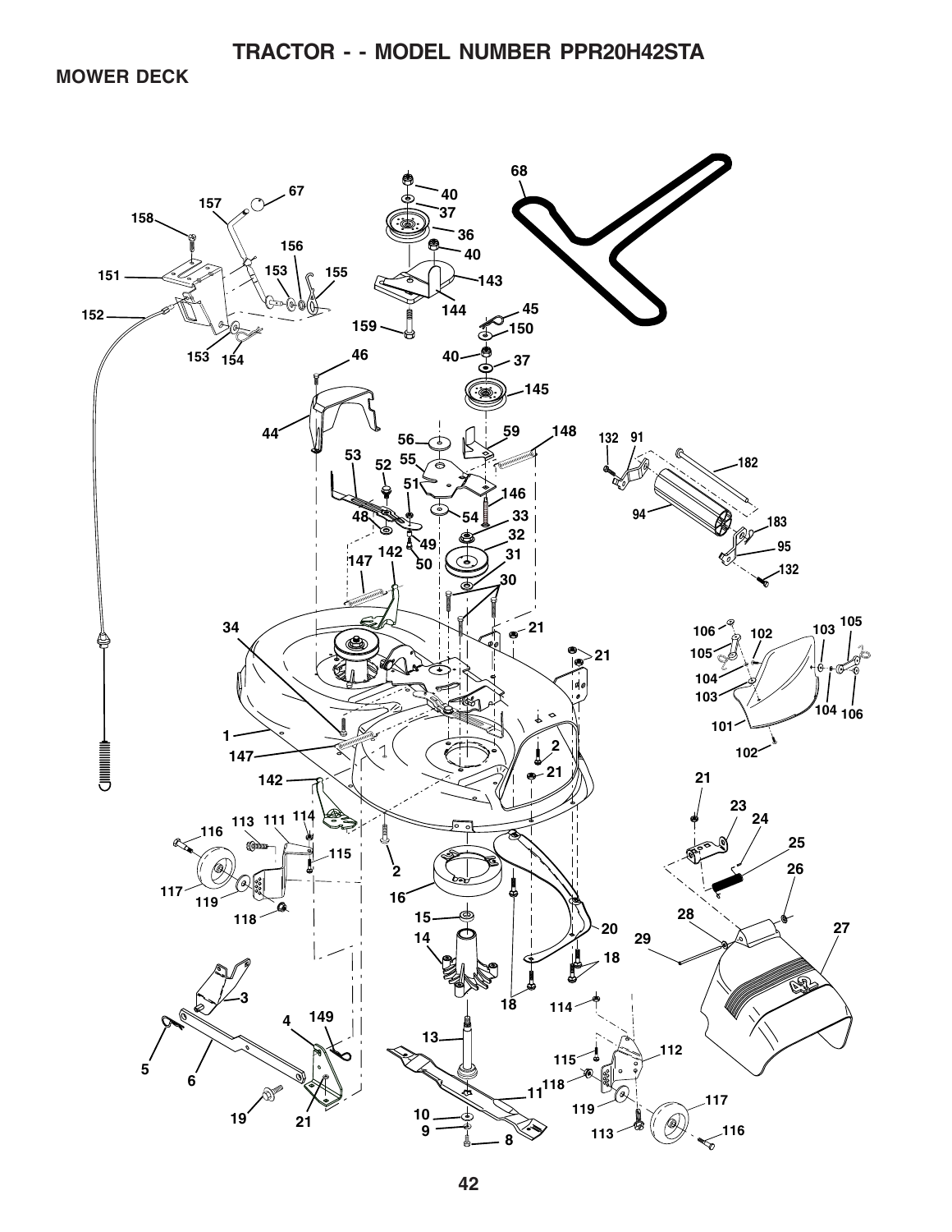**MOWER DECK**

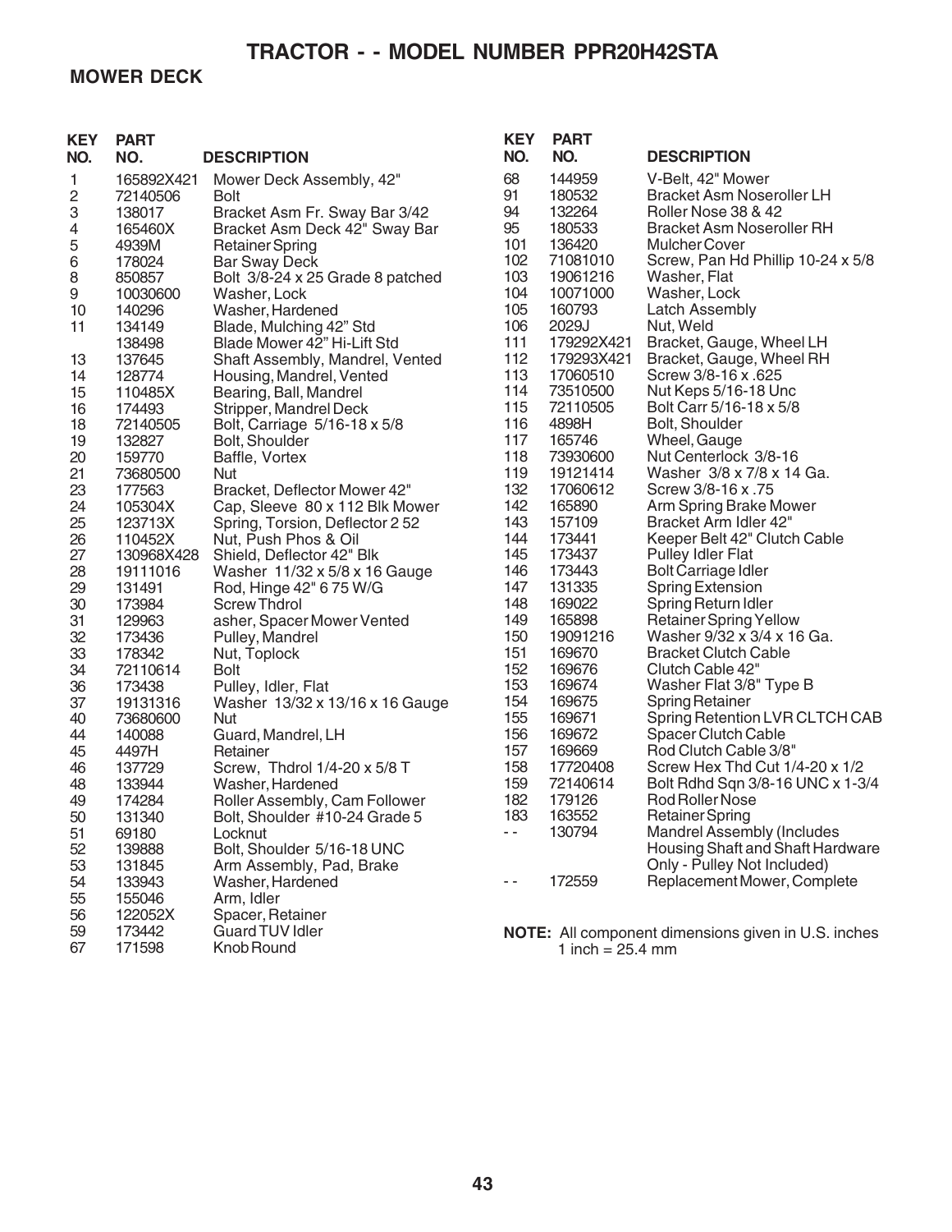### **MOWER DECK**

| <b>KEY</b><br>NO. | <b>PART</b><br>NO. | <b>DESCRIPTION</b>               | <b>KEY</b><br>NO. | <b>PART</b><br>NO. | <b>DESCRIPTION</b>                                         |
|-------------------|--------------------|----------------------------------|-------------------|--------------------|------------------------------------------------------------|
| 1                 | 165892X421         | Mower Deck Assembly, 42"         | 68                | 144959             | V-Belt, 42" Mower                                          |
| 2                 | 72140506           | <b>Bolt</b>                      | 91                | 180532             | <b>Bracket Asm Noseroller LH</b>                           |
| 3                 | 138017             | Bracket Asm Fr. Sway Bar 3/42    | 94                | 132264             | Roller Nose 38 & 42                                        |
| 4                 | 165460X            | Bracket Asm Deck 42" Sway Bar    | 95                | 180533             | <b>Bracket Asm Noseroller RH</b>                           |
| 5                 | 4939M              | <b>Retainer Spring</b>           | 101               | 136420             | <b>Mulcher Cover</b>                                       |
| 6                 | 178024             | <b>Bar Sway Deck</b>             | 102               | 71081010           | Screw, Pan Hd Phillip 10-24 x 5/8                          |
| 8                 | 850857             | Bolt 3/8-24 x 25 Grade 8 patched | 103               | 19061216           | Washer, Flat                                               |
| 9                 | 10030600           | Washer, Lock                     | 104               | 10071000           | Washer, Lock                                               |
| 10                | 140296             | Washer, Hardened                 | 105               | 160793             | Latch Assembly                                             |
| 11                | 134149             | Blade, Mulching 42" Std          | 106               | 2029J              | Nut, Weld                                                  |
|                   | 138498             | Blade Mower 42" Hi-Lift Std      | 111               | 179292X421         | Bracket, Gauge, Wheel LH                                   |
| 13                | 137645             | Shaft Assembly, Mandrel, Vented  | 112               | 179293X421         | Bracket, Gauge, Wheel RH                                   |
| 14                | 128774             | Housing, Mandrel, Vented         | 113               | 17060510           | Screw 3/8-16 x .625                                        |
| 15                | 110485X            | Bearing, Ball, Mandrel           | 114               | 73510500           | Nut Keps 5/16-18 Unc                                       |
| 16                | 174493             | Stripper, Mandrel Deck           | 115               | 72110505           | Bolt Carr 5/16-18 x 5/8                                    |
| 18                | 72140505           | Bolt, Carriage 5/16-18 x 5/8     | 116               | 4898H              | Bolt, Shoulder                                             |
| 19                | 132827             | Bolt, Shoulder                   | 117               | 165746             | Wheel, Gauge                                               |
| 20                | 159770             | Baffle, Vortex                   | 118               | 73930600           | Nut Centerlock 3/8-16                                      |
| 21                | 73680500           | <b>Nut</b>                       | 119               | 19121414           | Washer 3/8 x 7/8 x 14 Ga.                                  |
| 23                | 177563             | Bracket, Deflector Mower 42"     | 132               | 17060612           | Screw 3/8-16 x .75                                         |
| 24                | 105304X            | Cap, Sleeve 80 x 112 Blk Mower   | 142               | 165890             | Arm Spring Brake Mower                                     |
| 25                | 123713X            | Spring, Torsion, Deflector 2 52  | 143               | 157109             | Bracket Arm Idler 42"                                      |
| 26                | 110452X            | Nut, Push Phos & Oil             | 144               | 173441             | Keeper Belt 42" Clutch Cable                               |
| 27                | 130968X428         | Shield, Deflector 42" Blk        | 145               | 173437             | Pulley Idler Flat                                          |
| 28                | 19111016           | Washer 11/32 x 5/8 x 16 Gauge    | 146               | 173443             | <b>Bolt Carriage Idler</b>                                 |
| 29                | 131491             | Rod, Hinge 42" 6 75 W/G          | 147               | 131335             | <b>Spring Extension</b>                                    |
| 30                | 173984             | <b>Screw Thdrol</b>              | 148               | 169022             | Spring Return Idler                                        |
| 31                | 129963             | asher, Spacer Mower Vented       | 149               | 165898             | <b>Retainer Spring Yellow</b>                              |
| 32                | 173436             | Pulley, Mandrel                  | 150               | 19091216           | Washer 9/32 x 3/4 x 16 Ga.                                 |
| 33                | 178342             | Nut, Toplock                     | 151               | 169670             | <b>Bracket Clutch Cable</b>                                |
| 34                | 72110614           | Bolt                             | 152               | 169676             | Clutch Cable 42"                                           |
| 36                | 173438             | Pulley, Idler, Flat              | 153               | 169674             | Washer Flat 3/8" Type B                                    |
| 37                | 19131316           | Washer 13/32 x 13/16 x 16 Gauge  | 154               | 169675             | <b>Spring Retainer</b>                                     |
| 40                | 73680600           | <b>Nut</b>                       | 155               | 169671             | Spring Retention LVR CLTCH CAB                             |
| 44                | 140088             | Guard, Mandrel, LH               | 156               | 169672             | <b>Spacer Clutch Cable</b>                                 |
| 45                | 4497H              | Retainer                         | 157               | 169669             | Rod Clutch Cable 3/8"                                      |
| 46                | 137729             | Screw, Thdrol 1/4-20 x 5/8 T     | 158               | 17720408           | Screw Hex Thd Cut 1/4-20 x 1/2                             |
| 48                | 133944             | Washer, Hardened                 | 159               | 72140614           | Bolt Rdhd Sqn 3/8-16 UNC x 1-3/4                           |
| 49                | 174284             | Roller Assembly, Cam Follower    | 182               | 179126             | Rod Roller Nose                                            |
| 50                | 131340             | Bolt, Shoulder #10-24 Grade 5    | 183               | 163552             | <b>Retainer Spring</b>                                     |
| 51                | 69180              | Locknut                          |                   | 130794             | Mandrel Assembly (Includes                                 |
| 52                | 139888             | Bolt, Shoulder 5/16-18 UNC       |                   |                    | Housing Shaft and Shaft Hardware                           |
| 53                | 131845             | Arm Assembly, Pad, Brake         |                   |                    | Only - Pulley Not Included)                                |
| 54                | 133943             | Washer, Hardened                 |                   | 172559             | Replacement Mower, Complete                                |
| 55                | 155046             | Arm, Idler                       |                   |                    |                                                            |
| 56                | 122052X            | Spacer, Retainer                 |                   |                    |                                                            |
| 59                | 173442             | Guard TUV Idler                  |                   |                    | <b>NOTE:</b> All component dimensions given in U.S. inches |
| 67                | 171598             | Knob Round                       |                   | 1 inch = $25.4$ mm |                                                            |